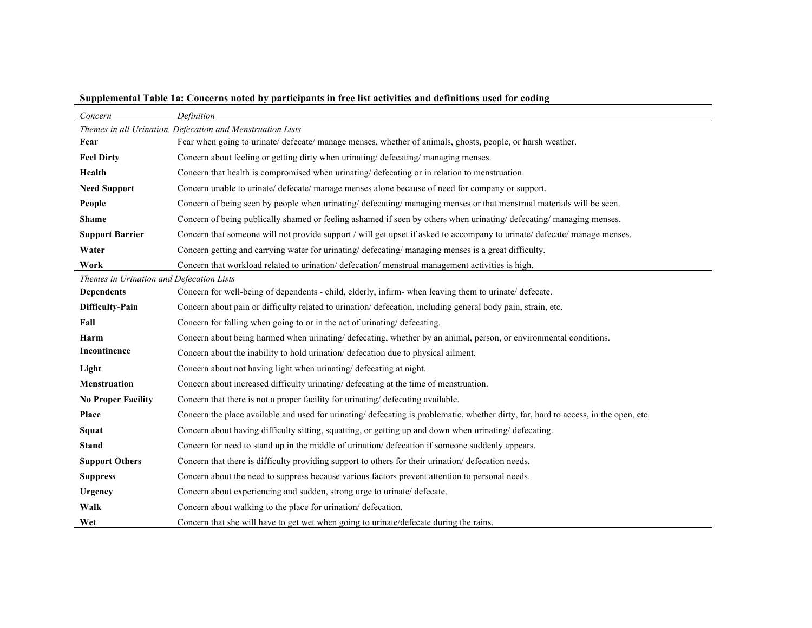| Concern                                                    | Definition                                                                                                                           |  |  |  |  |  |  |  |  |  |
|------------------------------------------------------------|--------------------------------------------------------------------------------------------------------------------------------------|--|--|--|--|--|--|--|--|--|
| Themes in all Urination, Defecation and Menstruation Lists |                                                                                                                                      |  |  |  |  |  |  |  |  |  |
| Fear                                                       | Fear when going to urinate/ defecate/ manage menses, whether of animals, ghosts, people, or harsh weather.                           |  |  |  |  |  |  |  |  |  |
| <b>Feel Dirty</b>                                          | Concern about feeling or getting dirty when urinating/defecating/managing menses.                                                    |  |  |  |  |  |  |  |  |  |
| Health                                                     | Concern that health is compromised when urinating/ defecating or in relation to menstruation.                                        |  |  |  |  |  |  |  |  |  |
| <b>Need Support</b>                                        | Concern unable to urinate/ defecate/ manage menses alone because of need for company or support.                                     |  |  |  |  |  |  |  |  |  |
| People                                                     | Concern of being seen by people when urinating/ defecating/ managing menses or that menstrual materials will be seen.                |  |  |  |  |  |  |  |  |  |
| <b>Shame</b>                                               | Concern of being publically shamed or feeling ashamed if seen by others when urinating/ defecating/managing menses.                  |  |  |  |  |  |  |  |  |  |
| <b>Support Barrier</b>                                     | Concern that someone will not provide support / will get upset if asked to accompany to urinate/ defecate/ manage menses.            |  |  |  |  |  |  |  |  |  |
| Water                                                      | Concern getting and carrying water for urinating/ defecating/ managing menses is a great difficulty.                                 |  |  |  |  |  |  |  |  |  |
| Work                                                       | Concern that workload related to urination/ defecation/ menstrual management activities is high.                                     |  |  |  |  |  |  |  |  |  |
| Themes in Urination and Defecation Lists                   |                                                                                                                                      |  |  |  |  |  |  |  |  |  |
| <b>Dependents</b>                                          | Concern for well-being of dependents - child, elderly, infirm- when leaving them to urinate/ defecate.                               |  |  |  |  |  |  |  |  |  |
| <b>Difficulty-Pain</b>                                     | Concern about pain or difficulty related to urination/ defecation, including general body pain, strain, etc.                         |  |  |  |  |  |  |  |  |  |
| Fall                                                       | Concern for falling when going to or in the act of urinating/ defecating.                                                            |  |  |  |  |  |  |  |  |  |
| Harm                                                       | Concern about being harmed when urinating/ defecating, whether by an animal, person, or environmental conditions.                    |  |  |  |  |  |  |  |  |  |
| Incontinence                                               | Concern about the inability to hold urination/ defecation due to physical ailment.                                                   |  |  |  |  |  |  |  |  |  |
| Light                                                      | Concern about not having light when urinating/ defecating at night.                                                                  |  |  |  |  |  |  |  |  |  |
| <b>Menstruation</b>                                        | Concern about increased difficulty urinating/ defecating at the time of menstruation.                                                |  |  |  |  |  |  |  |  |  |
| <b>No Proper Facility</b>                                  | Concern that there is not a proper facility for urinating/defecating available.                                                      |  |  |  |  |  |  |  |  |  |
| Place                                                      | Concern the place available and used for urinating/ defecating is problematic, whether dirty, far, hard to access, in the open, etc. |  |  |  |  |  |  |  |  |  |
| Squat                                                      | Concern about having difficulty sitting, squatting, or getting up and down when urinating/ defecating.                               |  |  |  |  |  |  |  |  |  |
| <b>Stand</b>                                               | Concern for need to stand up in the middle of urination/defecation if someone suddenly appears.                                      |  |  |  |  |  |  |  |  |  |
| <b>Support Others</b>                                      | Concern that there is difficulty providing support to others for their urination/defecation needs.                                   |  |  |  |  |  |  |  |  |  |
| <b>Suppress</b>                                            | Concern about the need to suppress because various factors prevent attention to personal needs.                                      |  |  |  |  |  |  |  |  |  |
| Urgency                                                    | Concern about experiencing and sudden, strong urge to urinate/ defecate.                                                             |  |  |  |  |  |  |  |  |  |
| Walk                                                       | Concern about walking to the place for urination/defecation.                                                                         |  |  |  |  |  |  |  |  |  |
| Wet                                                        | Concern that she will have to get wet when going to urinate/defecate during the rains.                                               |  |  |  |  |  |  |  |  |  |

**Supplemental Table 1a: Concerns noted by participants in free list activities and definitions used for coding**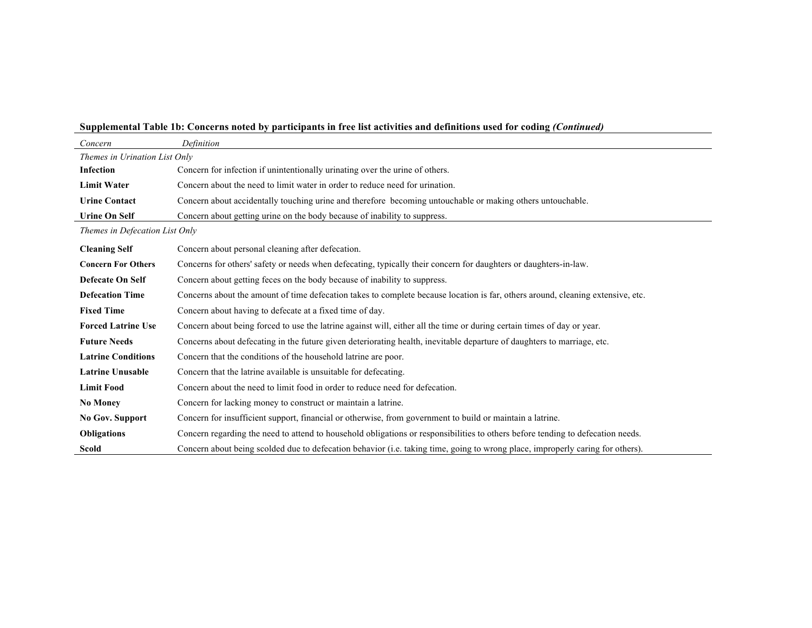## **Supplemental Table 1b: Concerns noted by participants in free list activities and definitions used for coding** *(Continued)*

| Concern                        | Definition                                                                                                                      |  |  |  |  |  |  |  |  |
|--------------------------------|---------------------------------------------------------------------------------------------------------------------------------|--|--|--|--|--|--|--|--|
| Themes in Urination List Only  |                                                                                                                                 |  |  |  |  |  |  |  |  |
| <b>Infection</b>               | Concern for infection if unintentionally urinating over the urine of others.                                                    |  |  |  |  |  |  |  |  |
| <b>Limit Water</b>             | Concern about the need to limit water in order to reduce need for urination.                                                    |  |  |  |  |  |  |  |  |
| <b>Urine Contact</b>           | Concern about accidentally touching urine and therefore becoming untouchable or making others untouchable.                      |  |  |  |  |  |  |  |  |
| <b>Urine On Self</b>           | Concern about getting urine on the body because of inability to suppress.                                                       |  |  |  |  |  |  |  |  |
| Themes in Defecation List Only |                                                                                                                                 |  |  |  |  |  |  |  |  |
| <b>Cleaning Self</b>           | Concern about personal cleaning after defecation.                                                                               |  |  |  |  |  |  |  |  |
| <b>Concern For Others</b>      | Concerns for others' safety or needs when defecating, typically their concern for daughters or daughters-in-law.                |  |  |  |  |  |  |  |  |
| Defecate On Self               | Concern about getting feces on the body because of inability to suppress.                                                       |  |  |  |  |  |  |  |  |
| <b>Defecation Time</b>         | Concerns about the amount of time defecation takes to complete because location is far, others around, cleaning extensive, etc. |  |  |  |  |  |  |  |  |
| <b>Fixed Time</b>              | Concern about having to defecate at a fixed time of day.                                                                        |  |  |  |  |  |  |  |  |
| <b>Forced Latrine Use</b>      | Concern about being forced to use the latrine against will, either all the time or during certain times of day or year.         |  |  |  |  |  |  |  |  |
| <b>Future Needs</b>            | Concerns about defecating in the future given deteriorating health, inevitable departure of daughters to marriage, etc.         |  |  |  |  |  |  |  |  |
| <b>Latrine Conditions</b>      | Concern that the conditions of the household latrine are poor.                                                                  |  |  |  |  |  |  |  |  |
| <b>Latrine Unusable</b>        | Concern that the latrine available is unsuitable for defecating.                                                                |  |  |  |  |  |  |  |  |
| <b>Limit Food</b>              | Concern about the need to limit food in order to reduce need for defecation.                                                    |  |  |  |  |  |  |  |  |
| <b>No Money</b>                | Concern for lacking money to construct or maintain a latrine.                                                                   |  |  |  |  |  |  |  |  |
| No Gov. Support                | Concern for insufficient support, financial or otherwise, from government to build or maintain a latrine.                       |  |  |  |  |  |  |  |  |
| <b>Obligations</b>             | Concern regarding the need to attend to household obligations or responsibilities to others before tending to defecation needs. |  |  |  |  |  |  |  |  |
| Scold                          | Concern about being scolded due to defecation behavior (i.e. taking time, going to wrong place, improperly caring for others).  |  |  |  |  |  |  |  |  |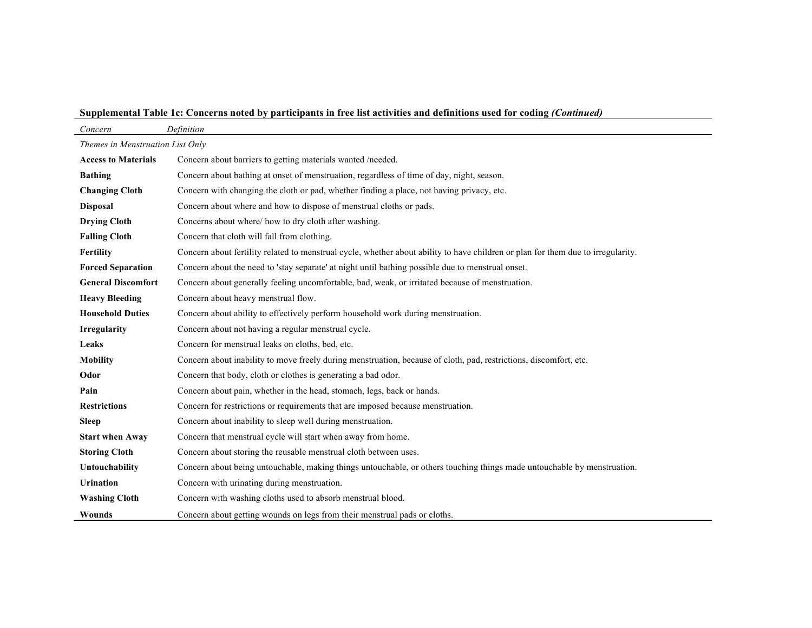**Supplemental Table 1c: Concerns noted by participants in free list activities and definitions used for coding** *(Continued)*

| Concern                          | Definition                                                                                                                       |  |  |  |  |  |  |  |  |
|----------------------------------|----------------------------------------------------------------------------------------------------------------------------------|--|--|--|--|--|--|--|--|
| Themes in Menstruation List Only |                                                                                                                                  |  |  |  |  |  |  |  |  |
| <b>Access to Materials</b>       | Concern about barriers to getting materials wanted /needed.                                                                      |  |  |  |  |  |  |  |  |
| <b>Bathing</b>                   | Concern about bathing at onset of menstruation, regardless of time of day, night, season.                                        |  |  |  |  |  |  |  |  |
| <b>Changing Cloth</b>            | Concern with changing the cloth or pad, whether finding a place, not having privacy, etc.                                        |  |  |  |  |  |  |  |  |
| <b>Disposal</b>                  | Concern about where and how to dispose of menstrual cloths or pads.                                                              |  |  |  |  |  |  |  |  |
| <b>Drying Cloth</b>              | Concerns about where/ how to dry cloth after washing.                                                                            |  |  |  |  |  |  |  |  |
| <b>Falling Cloth</b>             | Concern that cloth will fall from clothing.                                                                                      |  |  |  |  |  |  |  |  |
| Fertility                        | Concern about fertility related to menstrual cycle, whether about ability to have children or plan for them due to irregularity. |  |  |  |  |  |  |  |  |
| <b>Forced Separation</b>         | Concern about the need to 'stay separate' at night until bathing possible due to menstrual onset.                                |  |  |  |  |  |  |  |  |
| <b>General Discomfort</b>        | Concern about generally feeling uncomfortable, bad, weak, or irritated because of menstruation.                                  |  |  |  |  |  |  |  |  |
| <b>Heavy Bleeding</b>            | Concern about heavy menstrual flow.                                                                                              |  |  |  |  |  |  |  |  |
| <b>Household Duties</b>          | Concern about ability to effectively perform household work during menstruation.                                                 |  |  |  |  |  |  |  |  |
| <b>Irregularity</b>              | Concern about not having a regular menstrual cycle.                                                                              |  |  |  |  |  |  |  |  |
| Leaks                            | Concern for menstrual leaks on cloths, bed, etc.                                                                                 |  |  |  |  |  |  |  |  |
| <b>Mobility</b>                  | Concern about inability to move freely during menstruation, because of cloth, pad, restrictions, discomfort, etc.                |  |  |  |  |  |  |  |  |
| Odor                             | Concern that body, cloth or clothes is generating a bad odor.                                                                    |  |  |  |  |  |  |  |  |
| Pain                             | Concern about pain, whether in the head, stomach, legs, back or hands.                                                           |  |  |  |  |  |  |  |  |
| <b>Restrictions</b>              | Concern for restrictions or requirements that are imposed because menstruation.                                                  |  |  |  |  |  |  |  |  |
| <b>Sleep</b>                     | Concern about inability to sleep well during menstruation.                                                                       |  |  |  |  |  |  |  |  |
| <b>Start when Away</b>           | Concern that menstrual cycle will start when away from home.                                                                     |  |  |  |  |  |  |  |  |
| <b>Storing Cloth</b>             | Concern about storing the reusable menstrual cloth between uses.                                                                 |  |  |  |  |  |  |  |  |
| Untouchability                   | Concern about being untouchable, making things untouchable, or others touching things made untouchable by menstruation.          |  |  |  |  |  |  |  |  |
| <b>Urination</b>                 | Concern with urinating during menstruation.                                                                                      |  |  |  |  |  |  |  |  |
| <b>Washing Cloth</b>             | Concern with washing cloths used to absorb menstrual blood.                                                                      |  |  |  |  |  |  |  |  |
| Wounds                           | Concern about getting wounds on legs from their menstrual pads or cloths.                                                        |  |  |  |  |  |  |  |  |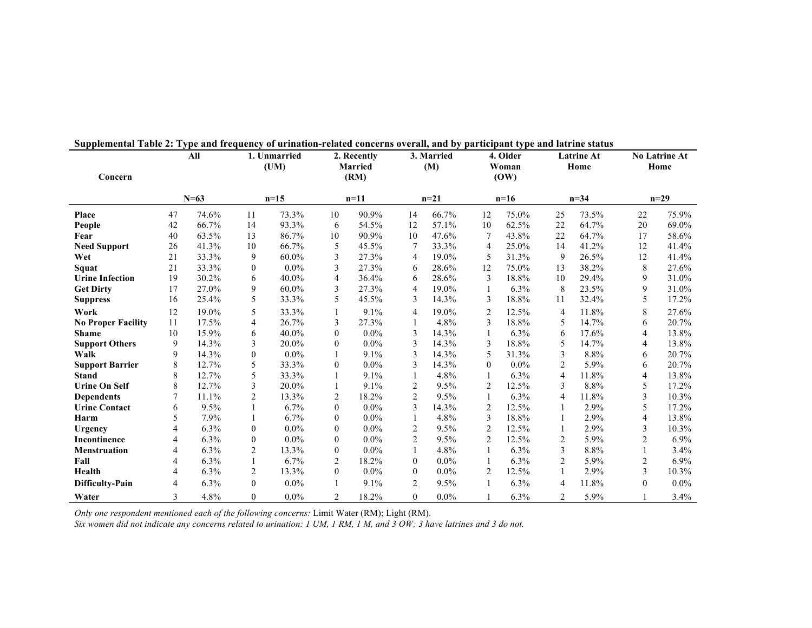| Concern                   | All         |       | 1. Unmarried<br>(UM) |          | 2. Recently<br><b>Married</b><br>(RM) |         | 3. Married<br>(M) |         | 4. Older<br>Woman<br>(OW) |       | <b>Latrine At</b><br>Home |       | <b>No Latrine At</b><br>Home |         |
|---------------------------|-------------|-------|----------------------|----------|---------------------------------------|---------|-------------------|---------|---------------------------|-------|---------------------------|-------|------------------------------|---------|
|                           | $N=63$      |       | $n=15$               |          | $n=11$                                |         | $n=21$            |         | $n=16$                    |       | $n = 34$                  |       | $n=29$                       |         |
| Place                     | 74.6%<br>47 |       | 11                   | 73.3%    | 10                                    | 90.9%   | 14                | 66.7%   | 12                        | 75.0% | 25                        | 73.5% | 22                           | 75.9%   |
| People                    | 42          | 66.7% | 14                   | 93.3%    | 6                                     | 54.5%   | 12                | 57.1%   | 10                        | 62.5% | 22                        | 64.7% | 20                           | 69.0%   |
| Fear                      | 40          | 63.5% | 13                   | 86.7%    | 10                                    | 90.9%   | 10                | 47.6%   | 7                         | 43.8% | 22                        | 64.7% | 17                           | 58.6%   |
| <b>Need Support</b>       | 26          | 41.3% | 10                   | 66.7%    | 5                                     | 45.5%   | $\tau$            | 33.3%   | 4                         | 25.0% | 14                        | 41.2% | 12                           | 41.4%   |
| Wet                       | 21          | 33.3% | 9                    | 60.0%    | $\mathfrak{Z}$                        | 27.3%   | $\overline{4}$    | 19.0%   | 5                         | 31.3% | 9                         | 26.5% | 12                           | 41.4%   |
| Squat                     | 21          | 33.3% | $\mathbf{0}$         | $0.0\%$  | 3                                     | 27.3%   | 6                 | 28.6%   | 12                        | 75.0% | 13                        | 38.2% | 8                            | 27.6%   |
| <b>Urine Infection</b>    | 19          | 30.2% | 6                    | 40.0%    | 4                                     | 36.4%   | 6                 | 28.6%   | 3                         | 18.8% | 10                        | 29.4% | 9                            | 31.0%   |
| <b>Get Dirty</b>          | 17          | 27.0% | 9                    | $60.0\%$ | 3                                     | 27.3%   | $\overline{4}$    | 19.0%   |                           | 6.3%  | 8                         | 23.5% | 9                            | 31.0%   |
| <b>Suppress</b>           | 16          | 25.4% | 5                    | 33.3%    | 5                                     | 45.5%   | 3                 | 14.3%   | 3                         | 18.8% | 11                        | 32.4% | 5                            | 17.2%   |
| Work                      | 12          | 19.0% | 5                    | 33.3%    |                                       | 9.1%    | 4                 | 19.0%   | $\overline{2}$            | 12.5% | $\overline{4}$            | 11.8% | 8                            | 27.6%   |
| <b>No Proper Facility</b> | 11          | 17.5% | 4                    | 26.7%    | 3                                     | 27.3%   |                   | 4.8%    | 3                         | 18.8% | 5                         | 14.7% | 6                            | 20.7%   |
| <b>Shame</b>              | 10          | 15.9% | 6                    | 40.0%    | $\theta$                              | 0.0%    | 3                 | 14.3%   | 1                         | 6.3%  | 6                         | 17.6% | $\overline{4}$               | 13.8%   |
| <b>Support Others</b>     | 9           | 14.3% | 3                    | 20.0%    | $\Omega$                              | 0.0%    | 3                 | 14.3%   | 3                         | 18.8% | 5                         | 14.7% | 4                            | 13.8%   |
| Walk                      | 9           | 14.3% | $\mathbf{0}$         | $0.0\%$  |                                       | 9.1%    | 3                 | 14.3%   | 5                         | 31.3% | 3                         | 8.8%  | 6                            | 20.7%   |
| <b>Support Barrier</b>    | 8           | 12.7% | 5                    | 33.3%    | $\Omega$                              | 0.0%    | 3                 | 14.3%   | $\theta$                  | 0.0%  | $\overline{2}$            | 5.9%  | 6                            | 20.7%   |
| <b>Stand</b>              | 8           | 12.7% | 5                    | 33.3%    |                                       | 9.1%    | 1                 | 4.8%    |                           | 6.3%  | $\overline{4}$            | 11.8% | 4                            | 13.8%   |
| <b>Urine On Self</b>      | 8           | 12.7% | 3                    | 20.0%    |                                       | 9.1%    | $\overline{2}$    | 9.5%    | $\overline{2}$            | 12.5% | 3                         | 8.8%  | 5                            | 17.2%   |
| <b>Dependents</b>         | 7           | 11.1% | $\overline{c}$       | 13.3%    | 2                                     | 18.2%   | $\overline{2}$    | 9.5%    |                           | 6.3%  | $\overline{4}$            | 11.8% | 3                            | 10.3%   |
| <b>Urine Contact</b>      | 6           | 9.5%  |                      | 6.7%     | $\mathbf{0}$                          | $0.0\%$ | 3                 | 14.3%   | $\overline{2}$            | 12.5% |                           | 2.9%  | 5                            | 17.2%   |
| Harm                      | 5           | 7.9%  |                      | 6.7%     | $\theta$                              | 0.0%    | 1                 | 4.8%    | 3                         | 18.8% |                           | 2.9%  | 4                            | 13.8%   |
| Urgency                   | 4           | 6.3%  | $\overline{0}$       | $0.0\%$  | $\mathbf{0}$                          | $0.0\%$ | $\overline{2}$    | 9.5%    | 2                         | 12.5% |                           | 2.9%  | 3                            | 10.3%   |
| Incontinence              | 4           | 6.3%  | $\mathbf{0}$         | $0.0\%$  | $\Omega$                              | $0.0\%$ | 2                 | 9.5%    | 2                         | 12.5% | 2                         | 5.9%  | 2                            | 6.9%    |
| <b>Menstruation</b>       | 4           | 6.3%  | $\overline{2}$       | 13.3%    | $\mathbf{0}$                          | 0.0%    | 1                 | 4.8%    |                           | 6.3%  | 3                         | 8.8%  |                              | 3.4%    |
| Fall                      | 4           | 6.3%  | $\mathbf{1}$         | 6.7%     | $\overline{2}$                        | 18.2%   | $\mathbf{0}$      | $0.0\%$ |                           | 6.3%  | 2                         | 5.9%  | 2                            | 6.9%    |
| Health                    | 4           | 6.3%  | $\overline{2}$       | 13.3%    | $\Omega$                              | $0.0\%$ | $\mathbf{0}$      | $0.0\%$ | 2                         | 12.5% | $\mathbf{1}$              | 2.9%  | 3                            | 10.3%   |
| Difficulty-Pain           | 4           | 6.3%  | $\mathbf{0}$         | $0.0\%$  |                                       | 9.1%    | 2                 | 9.5%    |                           | 6.3%  | 4                         | 11.8% | $\mathbf{0}$                 | $0.0\%$ |
| Water                     | 3           | 4.8%  | $\Omega$             | $0.0\%$  | $\overline{2}$                        | 18.2%   | $\Omega$          | $0.0\%$ |                           | 6.3%  | $\overline{2}$            | 5.9%  |                              | 3.4%    |

**Supplemental Table 2: Type and frequency of urination-related concerns overall, and by participant type and latrine status**

*Only one respondent mentioned each of the following concerns:* Limit Water (RM); Light (RM).

*Six women did not indicate any concerns related to urination: 1 UM, 1 RM, 1 M, and 3 OW; 3 have latrines and 3 do not.*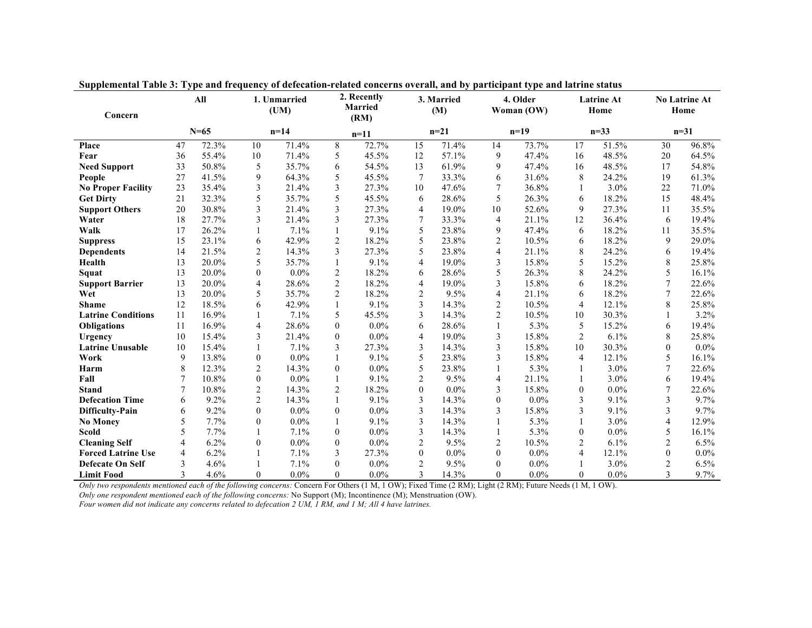| Concern                   | All      |         | 1. Unmarried<br>(UM) |         | 2. Recently<br><b>Married</b><br>(RM) |         | 3. Married<br>(M) |         | 4. Older<br>Woman (OW) |         | <b>Latrine At</b><br>Home |         | <b>No Latrine At</b><br>Home |         |
|---------------------------|----------|---------|----------------------|---------|---------------------------------------|---------|-------------------|---------|------------------------|---------|---------------------------|---------|------------------------------|---------|
|                           | $N = 65$ |         | $n=14$               |         | $n=11$                                |         | $n = 21$          |         | $n=19$                 |         | $n = 33$                  |         | $n = 31$                     |         |
| Place                     | 47       | 72.3%   | 10                   | 71.4%   | 8                                     | 72.7%   | 15                | 71.4%   | 14                     | 73.7%   | 17                        | 51.5%   | 30                           | 96.8%   |
| Fear                      | 36       | 55.4%   | 10                   | 71.4%   | 5                                     | 45.5%   | 12                | 57.1%   | 9                      | 47.4%   | 16                        | 48.5%   | 20                           | 64.5%   |
| <b>Need Support</b>       | 33       | 50.8%   | 5                    | 35.7%   | 6                                     | 54.5%   | 13                | 61.9%   | 9                      | 47.4%   | 16                        | 48.5%   | 17                           | 54.8%   |
| People                    | 27       | 41.5%   | 9                    | 64.3%   | 5                                     | 45.5%   | 7                 | 33.3%   | 6                      | 31.6%   | 8                         | 24.2%   | 19                           | 61.3%   |
| <b>No Proper Facility</b> | 23       | 35.4%   | 3                    | 21.4%   | 3                                     | 27.3%   | 10                | 47.6%   | 7                      | 36.8%   |                           | $3.0\%$ | 22                           | 71.0%   |
| <b>Get Dirty</b>          | 21       | 32.3%   | 5                    | 35.7%   | 5                                     | 45.5%   | 6                 | 28.6%   | 5                      | 26.3%   | 6                         | 18.2%   | 15                           | 48.4%   |
| <b>Support Others</b>     | 20       | 30.8%   | 3                    | 21.4%   | 3                                     | 27.3%   | 4                 | 19.0%   | 10                     | 52.6%   | 9                         | 27.3%   | 11                           | 35.5%   |
| Water                     | 18       | 27.7%   | 3                    | 21.4%   | 3                                     | 27.3%   | 7                 | 33.3%   | $\overline{4}$         | 21.1%   | 12                        | 36.4%   | 6                            | 19.4%   |
| Walk                      | 17       | 26.2%   |                      | 7.1%    |                                       | 9.1%    | 5                 | 23.8%   | 9                      | 47.4%   | 6                         | 18.2%   | 11                           | 35.5%   |
| <b>Suppress</b>           | 15       | 23.1%   | 6                    | 42.9%   | $\overline{c}$                        | 18.2%   | 5                 | 23.8%   | $\overline{c}$         | 10.5%   | 6                         | 18.2%   | 9                            | 29.0%   |
| <b>Dependents</b>         | 14       | 21.5%   | 2                    | 14.3%   | 3                                     | 27.3%   | 5                 | 23.8%   | 4                      | 21.1%   | 8                         | 24.2%   | 6                            | 19.4%   |
| Health                    | 13       | 20.0%   | 5                    | 35.7%   |                                       | 9.1%    | 4                 | 19.0%   | 3                      | 15.8%   | 5                         | 15.2%   | 8                            | 25.8%   |
| Squat                     | 13       | 20.0%   | $\theta$             | $0.0\%$ | $\overline{c}$                        | 18.2%   | 6                 | 28.6%   | 5                      | 26.3%   | 8                         | 24.2%   | 5                            | 16.1%   |
| <b>Support Barrier</b>    | 13       | 20.0%   | $\overline{4}$       | 28.6%   | $\overline{2}$                        | 18.2%   | 4                 | 19.0%   | 3                      | 15.8%   | 6                         | 18.2%   | 7                            | 22.6%   |
| Wet                       | 13       | 20.0%   | 5                    | 35.7%   | $\overline{2}$                        | 18.2%   | $\overline{c}$    | 9.5%    | 4                      | 21.1%   | 6                         | 18.2%   | 7                            | 22.6%   |
| <b>Shame</b>              | 12       | 18.5%   | 6                    | 42.9%   | 1                                     | 9.1%    | 3                 | 14.3%   | 2                      | 10.5%   | $\overline{4}$            | 12.1%   | 8                            | 25.8%   |
| <b>Latrine Conditions</b> | 11       | 16.9%   | 1                    | 7.1%    | 5                                     | 45.5%   | 3                 | 14.3%   | $\overline{c}$         | 10.5%   | 10                        | 30.3%   | 1                            | 3.2%    |
| <b>Obligations</b>        | 11       | 16.9%   | 4                    | 28.6%   | $\boldsymbol{0}$                      | 0.0%    | 6                 | 28.6%   | 1                      | 5.3%    | 5                         | 15.2%   | 6                            | 19.4%   |
| Urgency                   | 10       | 15.4%   | 3                    | 21.4%   | $\mathbf{0}$                          | $0.0\%$ | 4                 | 19.0%   | 3                      | 15.8%   | 2                         | 6.1%    | 8                            | 25.8%   |
| <b>Latrine Unusable</b>   | 10       | 15.4%   | $\mathbf{1}$         | 7.1%    | 3                                     | 27.3%   | 3                 | 14.3%   | 3                      | 15.8%   | 10                        | 30.3%   | $\theta$                     | 0.0%    |
| Work                      | 9        | 13.8%   | $\theta$             | $0.0\%$ |                                       | 9.1%    | 5                 | 23.8%   | 3                      | 15.8%   | $\overline{4}$            | 12.1%   | 5                            | 16.1%   |
| Harm                      | 8        | 12.3%   | $\overline{2}$       | 14.3%   | $\mathbf{0}$                          | 0.0%    | 5                 | 23.8%   | $\mathbf{1}$           | 5.3%    |                           | 3.0%    | 7                            | 22.6%   |
| Fall                      | 7        | 10.8%   | $\overline{0}$       | $0.0\%$ | $\mathbf{1}$                          | 9.1%    | $\overline{c}$    | 9.5%    | 4                      | 21.1%   |                           | 3.0%    | 6                            | 19.4%   |
| <b>Stand</b>              | 7        | 10.8%   | $\overline{2}$       | 14.3%   | $\overline{c}$                        | 18.2%   | $\theta$          | 0.0%    | 3                      | 15.8%   | $\mathbf{0}$              | $0.0\%$ | 7                            | 22.6%   |
| <b>Defecation Time</b>    | 6        | $9.2\%$ | $\overline{2}$       | 14.3%   |                                       | 9.1%    | 3                 | 14.3%   | $\theta$               | $0.0\%$ | 3                         | 9.1%    | 3                            | 9.7%    |
| Difficulty-Pain           | 6        | 9.2%    | $\Omega$             | $0.0\%$ | $\boldsymbol{0}$                      | 0.0%    | 3                 | 14.3%   | 3                      | 15.8%   | 3                         | 9.1%    | 3                            | 9.7%    |
| <b>No Money</b>           | 5        | 7.7%    | $\overline{0}$       | $0.0\%$ |                                       | 9.1%    | 3                 | 14.3%   |                        | 5.3%    |                           | $3.0\%$ | 4                            | 12.9%   |
| <b>Scold</b>              | 5        | 7.7%    |                      | 7.1%    | $\boldsymbol{0}$                      | 0.0%    | 3                 | 14.3%   |                        | 5.3%    | $\mathbf{0}$              | $0.0\%$ | 5                            | 16.1%   |
| <b>Cleaning Self</b>      | 4        | 6.2%    | $\Omega$             | $0.0\%$ | $\boldsymbol{0}$                      | 0.0%    | $\overline{2}$    | 9.5%    | $\overline{2}$         | 10.5%   | 2                         | 6.1%    | $\overline{c}$               | 6.5%    |
| <b>Forced Latrine Use</b> | 4        | 6.2%    | 1                    | 7.1%    | 3                                     | 27.3%   | $\mathbf{0}$      | $0.0\%$ | $\theta$               | $0.0\%$ | $\overline{4}$            | 12.1%   | $\mathbf{0}$                 | $0.0\%$ |
| Defecate On Self          | 3        | 4.6%    |                      | 7.1%    | $\mathbf{0}$                          | $0.0\%$ | $\overline{2}$    | 9.5%    | $\theta$               | $0.0\%$ | $\mathbf{1}$              | 3.0%    | $\overline{c}$               | 6.5%    |
| <b>Limit Food</b>         | 3        | 4.6%    | $\overline{0}$       | 0.0%    | $\overline{0}$                        | 0.0%    | 3                 | 14.3%   | $\mathbf{0}$           | 0.0%    | $\overline{0}$            | 0.0%    | 3                            | 9.7%    |

**Supplemental Table 3: Type and frequency of defecation-related concerns overall, and by participant type and latrine status**

*Only two respondents mentioned each of the following concerns:* Concern For Others (1 M, 1 OW); Fixed Time (2 RM); Light (2 RM); Future Needs (1 M, 1 OW).

*Only one respondent mentioned each of the following concerns:* No Support (M); Incontinence (M); Menstruation (OW).

*Four women did not indicate any concerns related to defecation 2 UM, 1 RM, and 1 M; All 4 have latrines.*